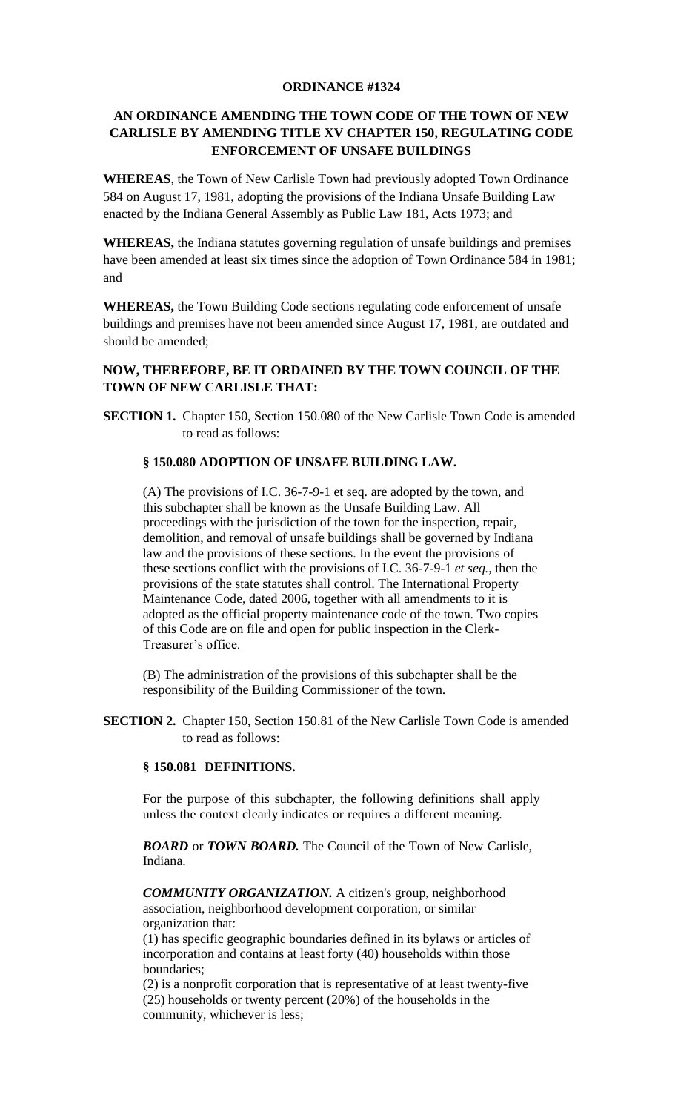## **ORDINANCE #1324**

# **AN ORDINANCE AMENDING THE TOWN CODE OF THE TOWN OF NEW CARLISLE BY AMENDING TITLE XV CHAPTER 150, REGULATING CODE ENFORCEMENT OF UNSAFE BUILDINGS**

**WHEREAS**, the Town of New Carlisle Town had previously adopted Town Ordinance 584 on August 17, 1981, adopting the provisions of the Indiana Unsafe Building Law enacted by the Indiana General Assembly as Public Law 181, Acts 1973; and

**WHEREAS,** the Indiana statutes governing regulation of unsafe buildings and premises have been amended at least six times since the adoption of Town Ordinance 584 in 1981; and

**WHEREAS,** the Town Building Code sections regulating code enforcement of unsafe buildings and premises have not been amended since August 17, 1981, are outdated and should be amended;

## **NOW, THEREFORE, BE IT ORDAINED BY THE TOWN COUNCIL OF THE TOWN OF NEW CARLISLE THAT:**

**SECTION 1.** Chapter 150, Section 150.080 of the New Carlisle Town Code is amended to read as follows:

# **§ 150.080 ADOPTION OF UNSAFE BUILDING LAW.**

(A) The provisions of I.C. 36-7-9-1 et seq. are adopted by the town, and this subchapter shall be known as the Unsafe Building Law. All proceedings with the jurisdiction of the town for the inspection, repair, demolition, and removal of unsafe buildings shall be governed by Indiana law and the provisions of these sections. In the event the provisions of these sections conflict with the provisions of I.C. 36-7-9-1 *et seq.*, then the provisions of the state statutes shall control. The International Property Maintenance Code, dated 2006, together with all amendments to it is adopted as the official property maintenance code of the town. Two copies of this Code are on file and open for public inspection in the Clerk-Treasurer's office.

(B) The administration of the provisions of this subchapter shall be the responsibility of the Building Commissioner of the town.

**SECTION 2.** Chapter 150, Section 150.81 of the New Carlisle Town Code is amended to read as follows:

### **§ 150.081 DEFINITIONS.**

For the purpose of this subchapter, the following definitions shall apply unless the context clearly indicates or requires a different meaning.

*BOARD* or *TOWN BOARD.* The Council of the Town of New Carlisle, Indiana.

*COMMUNITY ORGANIZATION.* A citizen's group, neighborhood association, neighborhood development corporation, or similar organization that:

(1) has specific geographic boundaries defined in its bylaws or articles of incorporation and contains at least forty (40) households within those boundaries;

(2) is a nonprofit corporation that is representative of at least twenty-five (25) households or twenty percent (20%) of the households in the community, whichever is less;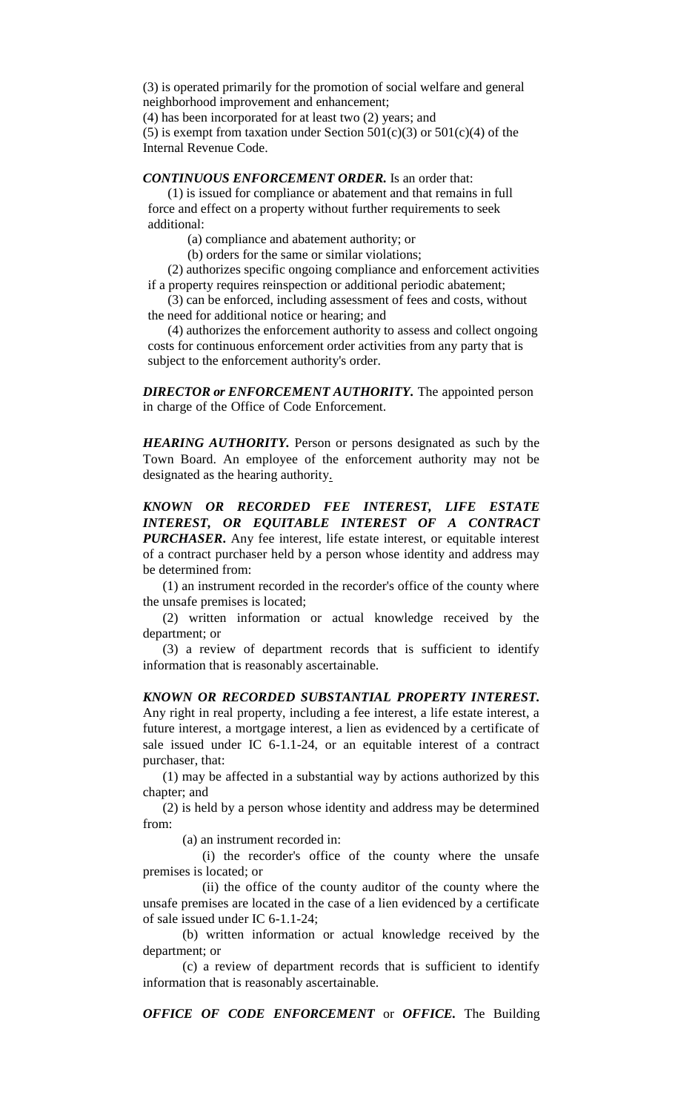(3) is operated primarily for the promotion of social welfare and general neighborhood improvement and enhancement;

(4) has been incorporated for at least two (2) years; and

(5) is exempt from taxation under Section  $501(c)(3)$  or  $501(c)(4)$  of the Internal Revenue Code.

*CONTINUOUS ENFORCEMENT ORDER.* Is an order that:

(1) is issued for compliance or abatement and that remains in full force and effect on a property without further requirements to seek additional:

(a) compliance and abatement authority; or

(b) orders for the same or similar violations;

(2) authorizes specific ongoing compliance and enforcement activities if a property requires reinspection or additional periodic abatement;

(3) can be enforced, including assessment of fees and costs, without the need for additional notice or hearing; and

(4) authorizes the enforcement authority to assess and collect ongoing costs for continuous enforcement order activities from any party that is subject to the enforcement authority's order.

*DIRECTOR or ENFORCEMENT AUTHORITY.* The appointed person in charge of the Office of Code Enforcement.

*HEARING AUTHORITY.* Person or persons designated as such by the Town Board. An employee of the enforcement authority may not be designated as the hearing authority.

*KNOWN OR RECORDED FEE INTEREST, LIFE ESTATE INTEREST, OR EQUITABLE INTEREST OF A CONTRACT PURCHASER***.** Any fee interest, life estate interest, or equitable interest of a contract purchaser held by a person whose identity and address may be determined from:

(1) an instrument recorded in the recorder's office of the county where the unsafe premises is located;

(2) written information or actual knowledge received by the department; or

(3) a review of department records that is sufficient to identify information that is reasonably ascertainable.

*KNOWN OR RECORDED SUBSTANTIAL PROPERTY INTEREST.* Any right in real property, including a fee interest, a life estate interest, a future interest, a mortgage interest, a lien as evidenced by a certificate of sale issued under IC 6-1.1-24, or an equitable interest of a contract purchaser, that:

(1) may be affected in a substantial way by actions authorized by this chapter; and

(2) is held by a person whose identity and address may be determined from:

(a) an instrument recorded in:

(i) the recorder's office of the county where the unsafe premises is located; or

(ii) the office of the county auditor of the county where the unsafe premises are located in the case of a lien evidenced by a certificate of sale issued under IC 6-1.1-24;

(b) written information or actual knowledge received by the department; or

(c) a review of department records that is sufficient to identify information that is reasonably ascertainable.

*OFFICE OF CODE ENFORCEMENT* or *OFFICE.* The Building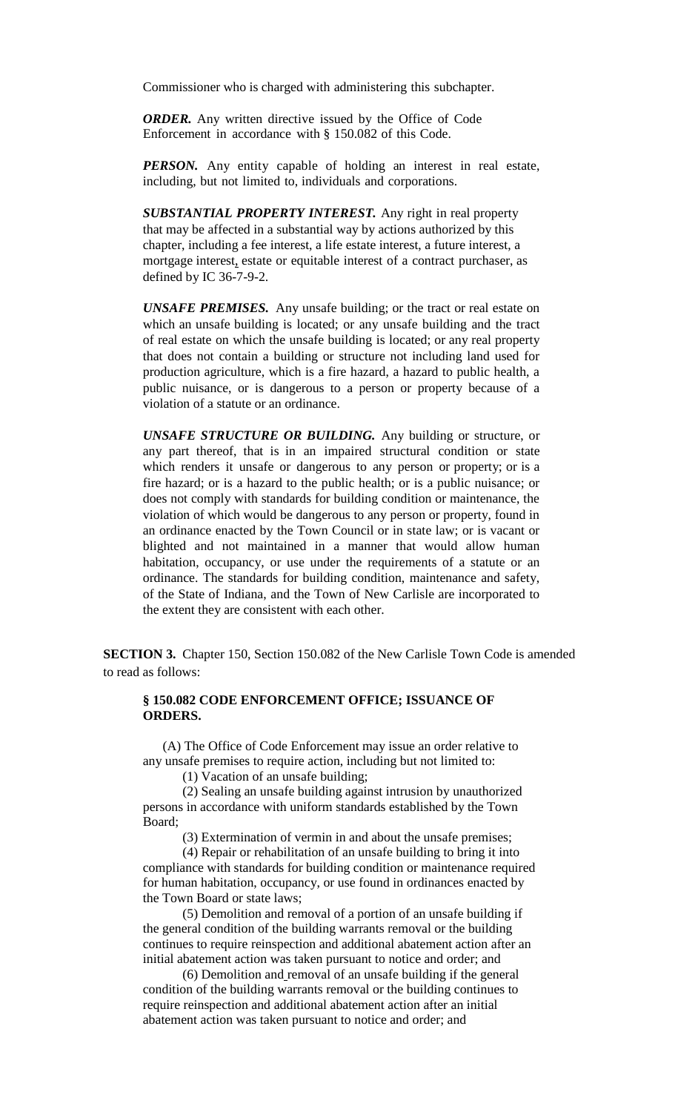Commissioner who is charged with administering this subchapter.

*ORDER.* Any written directive issued by the Office of Code Enforcement in accordance with § 150.082 of this Code.

**PERSON.** Any entity capable of holding an interest in real estate, including, but not limited to, individuals and corporations.

*SUBSTANTIAL PROPERTY INTEREST.* Any right in real property that may be affected in a substantial way by actions authorized by this chapter, including a fee interest, a life estate interest, a future interest, a mortgage interest, estate or equitable interest of a contract purchaser, as defined by IC 36-7-9-2.

*UNSAFE PREMISES.* Any unsafe building; or the tract or real estate on which an unsafe building is located; or any unsafe building and the tract of real estate on which the unsafe building is located; or any real property that does not contain a building or structure not including land used for production agriculture, which is a fire hazard, a hazard to public health, a public nuisance, or is dangerous to a person or property because of a violation of a statute or an ordinance.

*UNSAFE STRUCTURE OR BUILDING.* Any building or structure, or any part thereof, that is in an impaired structural condition or state which renders it unsafe or dangerous to any person or property; or is a fire hazard; or is a hazard to the public health; or is a public nuisance; or does not comply with standards for building condition or maintenance, the violation of which would be dangerous to any person or property, found in an ordinance enacted by the Town Council or in state law; or is vacant or blighted and not maintained in a manner that would allow human habitation, occupancy, or use under the requirements of a statute or an ordinance. The standards for building condition, maintenance and safety, of the State of Indiana, and the Town of New Carlisle are incorporated to the extent they are consistent with each other.

**SECTION 3.** Chapter 150, Section 150.082 of the New Carlisle Town Code is amended to read as follows:

#### **§ 150.082 CODE ENFORCEMENT OFFICE; ISSUANCE OF ORDERS.**

(A) The Office of Code Enforcement may issue an order relative to any unsafe premises to require action, including but not limited to:

(1) Vacation of an unsafe building;

(2) Sealing an unsafe building against intrusion by unauthorized persons in accordance with uniform standards established by the Town Board;

(3) Extermination of vermin in and about the unsafe premises;

(4) Repair or rehabilitation of an unsafe building to bring it into compliance with standards for building condition or maintenance required for human habitation, occupancy, or use found in ordinances enacted by the Town Board or state laws;

(5) Demolition and removal of a portion of an unsafe building if the general condition of the building warrants removal or the building continues to require reinspection and additional abatement action after an initial abatement action was taken pursuant to notice and order; and

(6) Demolition and removal of an unsafe building if the general condition of the building warrants removal or the building continues to require reinspection and additional abatement action after an initial abatement action was taken pursuant to notice and order; and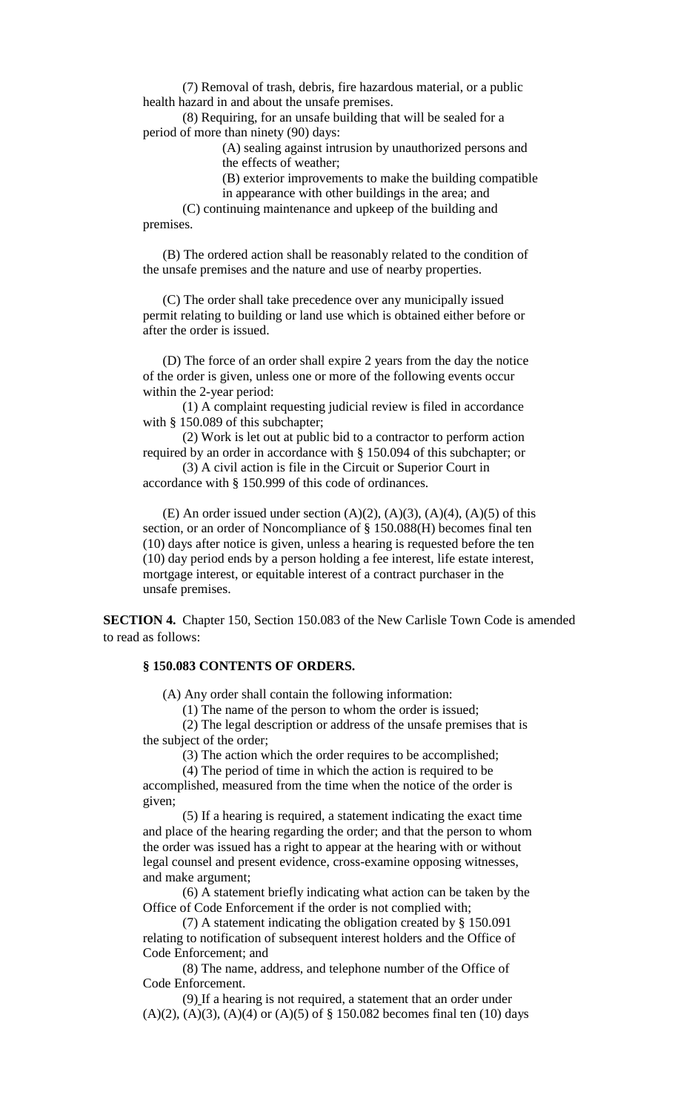(7) Removal of trash, debris, fire hazardous material, or a public health hazard in and about the unsafe premises.

(8) Requiring, for an unsafe building that will be sealed for a period of more than ninety (90) days:

(A) sealing against intrusion by unauthorized persons and the effects of weather;

(B) exterior improvements to make the building compatible

in appearance with other buildings in the area; and

(C) continuing maintenance and upkeep of the building and premises.

(B) The ordered action shall be reasonably related to the condition of the unsafe premises and the nature and use of nearby properties.

(C) The order shall take precedence over any municipally issued permit relating to building or land use which is obtained either before or after the order is issued.

(D) The force of an order shall expire 2 years from the day the notice of the order is given, unless one or more of the following events occur within the 2-year period:

(1) A complaint requesting judicial review is filed in accordance with § 150.089 of this subchapter;

(2) Work is let out at public bid to a contractor to perform action required by an order in accordance with § 150.094 of this subchapter; or

(3) A civil action is file in the Circuit or Superior Court in accordance with § 150.999 of this code of ordinances.

(E) An order issued under section  $(A)(2)$ ,  $(A)(3)$ ,  $(A)(4)$ ,  $(A)(5)$  of this section, or an order of Noncompliance of § 150.088(H) becomes final ten (10) days after notice is given, unless a hearing is requested before the ten (10) day period ends by a person holding a fee interest, life estate interest, mortgage interest, or equitable interest of a contract purchaser in the unsafe premises.

**SECTION 4.** Chapter 150, Section 150.083 of the New Carlisle Town Code is amended to read as follows:

## **§ 150.083 CONTENTS OF ORDERS.**

(A) Any order shall contain the following information:

(1) The name of the person to whom the order is issued;

(2) The legal description or address of the unsafe premises that is the subject of the order;

(3) The action which the order requires to be accomplished;

(4) The period of time in which the action is required to be accomplished, measured from the time when the notice of the order is

given;

(5) If a hearing is required, a statement indicating the exact time and place of the hearing regarding the order; and that the person to whom the order was issued has a right to appear at the hearing with or without legal counsel and present evidence, cross-examine opposing witnesses, and make argument;

(6) A statement briefly indicating what action can be taken by the Office of Code Enforcement if the order is not complied with;

(7) A statement indicating the obligation created by § 150.091 relating to notification of subsequent interest holders and the Office of Code Enforcement; and

(8) The name, address, and telephone number of the Office of Code Enforcement.

(9) If a hearing is not required, a statement that an order under  $(A)(2)$ ,  $(A)(3)$ ,  $(A)(4)$  or  $(A)(5)$  of § 150.082 becomes final ten (10) days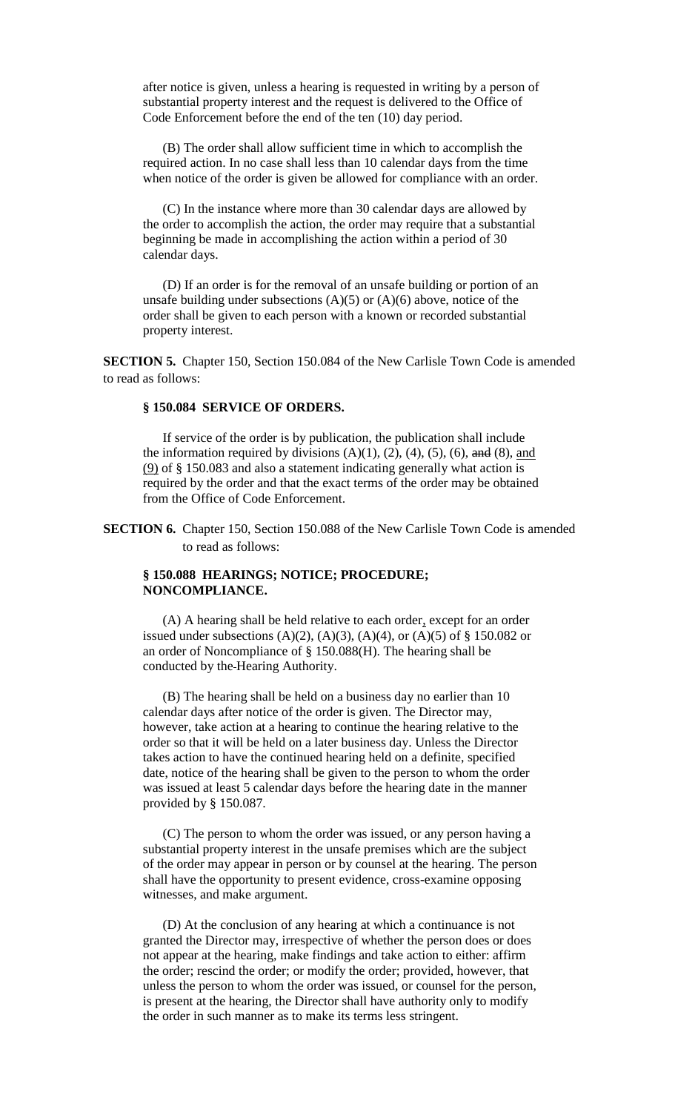after notice is given, unless a hearing is requested in writing by a person of substantial property interest and the request is delivered to the Office of Code Enforcement before the end of the ten (10) day period.

(B) The order shall allow sufficient time in which to accomplish the required action. In no case shall less than 10 calendar days from the time when notice of the order is given be allowed for compliance with an order.

(C) In the instance where more than 30 calendar days are allowed by the order to accomplish the action, the order may require that a substantial beginning be made in accomplishing the action within a period of 30 calendar days.

(D) If an order is for the removal of an unsafe building or portion of an unsafe building under subsections  $(A)(5)$  or  $(A)(6)$  above, notice of the order shall be given to each person with a known or recorded substantial property interest.

**SECTION 5.** Chapter 150, Section 150.084 of the New Carlisle Town Code is amended to read as follows:

#### **§ 150.084 SERVICE OF ORDERS.**

If service of the order is by publication, the publication shall include the information required by divisions  $(A)(1)$ ,  $(2)$ ,  $(4)$ ,  $(5)$ ,  $(6)$ , and  $(8)$ , and (9) of § 150.083 and also a statement indicating generally what action is required by the order and that the exact terms of the order may be obtained from the Office of Code Enforcement.

**SECTION 6.** Chapter 150, Section 150.088 of the New Carlisle Town Code is amended to read as follows:

### **§ 150.088 HEARINGS; NOTICE; PROCEDURE; NONCOMPLIANCE.**

(A) A hearing shall be held relative to each order, except for an order issued under subsections  $(A)(2)$ ,  $(A)(3)$ ,  $(A)(4)$ , or  $(A)(5)$  of § 150.082 or an order of Noncompliance of § 150.088(H). The hearing shall be conducted by the Hearing Authority.

(B) The hearing shall be held on a business day no earlier than 10 calendar days after notice of the order is given. The Director may, however, take action at a hearing to continue the hearing relative to the order so that it will be held on a later business day. Unless the Director takes action to have the continued hearing held on a definite, specified date, notice of the hearing shall be given to the person to whom the order was issued at least 5 calendar days before the hearing date in the manner provided by § 150.087.

(C) The person to whom the order was issued, or any person having a substantial property interest in the unsafe premises which are the subject of the order may appear in person or by counsel at the hearing. The person shall have the opportunity to present evidence, cross-examine opposing witnesses, and make argument.

(D) At the conclusion of any hearing at which a continuance is not granted the Director may, irrespective of whether the person does or does not appear at the hearing, make findings and take action to either: affirm the order; rescind the order; or modify the order; provided, however, that unless the person to whom the order was issued, or counsel for the person, is present at the hearing, the Director shall have authority only to modify the order in such manner as to make its terms less stringent.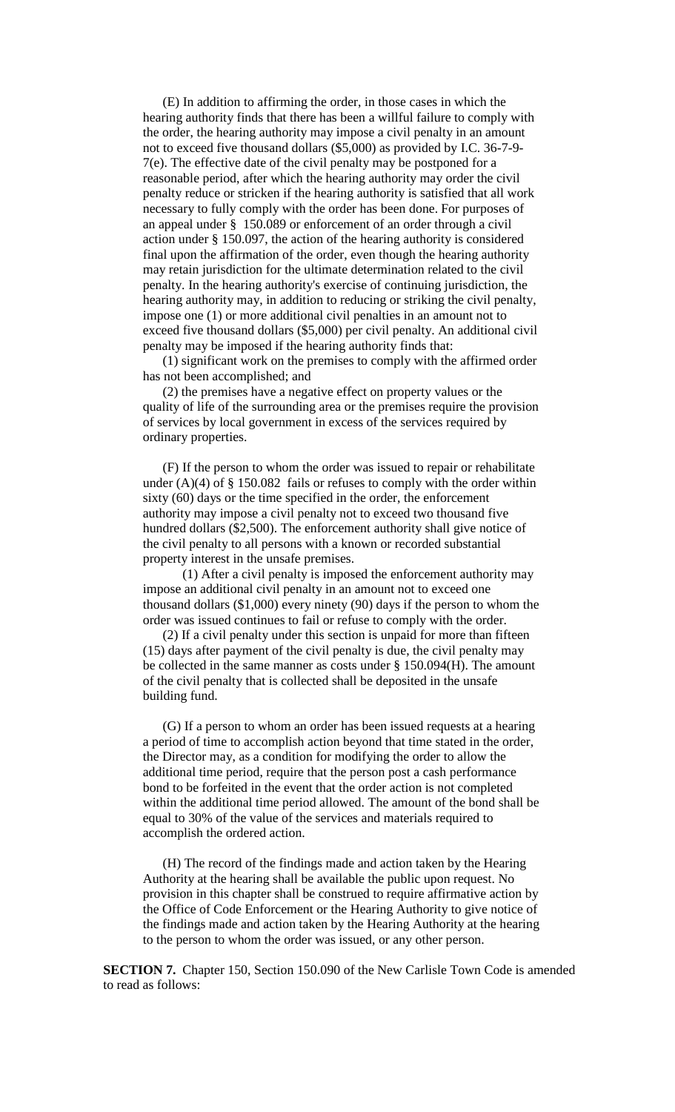(E) In addition to affirming the order, in those cases in which the hearing authority finds that there has been a willful failure to comply with the order, the hearing authority may impose a civil penalty in an amount not to exceed five thousand dollars (\$5,000) as provided by I.C. 36-7-9- 7(e). The effective date of the civil penalty may be postponed for a reasonable period, after which the hearing authority may order the civil penalty reduce or stricken if the hearing authority is satisfied that all work necessary to fully comply with the order has been done. For purposes of an appeal under § 150.089 or enforcement of an order through a civil action under § 150.097, the action of the hearing authority is considered final upon the affirmation of the order, even though the hearing authority may retain jurisdiction for the ultimate determination related to the civil penalty. In the hearing authority's exercise of continuing jurisdiction, the hearing authority may, in addition to reducing or striking the civil penalty, impose one (1) or more additional civil penalties in an amount not to exceed five thousand dollars (\$5,000) per civil penalty. An additional civil penalty may be imposed if the hearing authority finds that:

(1) significant work on the premises to comply with the affirmed order has not been accomplished; and

(2) the premises have a negative effect on property values or the quality of life of the surrounding area or the premises require the provision of services by local government in excess of the services required by ordinary properties.

(F) If the person to whom the order was issued to repair or rehabilitate under  $(A)(4)$  of § 150.082 fails or refuses to comply with the order within sixty (60) days or the time specified in the order, the enforcement authority may impose a civil penalty not to exceed two thousand five hundred dollars (\$2,500). The enforcement authority shall give notice of the civil penalty to all persons with a known or recorded substantial property interest in the unsafe premises.

(1) After a civil penalty is imposed the enforcement authority may impose an additional civil penalty in an amount not to exceed one thousand dollars (\$1,000) every ninety (90) days if the person to whom the order was issued continues to fail or refuse to comply with the order.

(2) If a civil penalty under this section is unpaid for more than fifteen (15) days after payment of the civil penalty is due, the civil penalty may be collected in the same manner as costs under § 150.094(H). The amount of the civil penalty that is collected shall be deposited in the unsafe building fund.

(G) If a person to whom an order has been issued requests at a hearing a period of time to accomplish action beyond that time stated in the order, the Director may, as a condition for modifying the order to allow the additional time period, require that the person post a cash performance bond to be forfeited in the event that the order action is not completed within the additional time period allowed. The amount of the bond shall be equal to 30% of the value of the services and materials required to accomplish the ordered action.

(H) The record of the findings made and action taken by the Hearing Authority at the hearing shall be available the public upon request. No provision in this chapter shall be construed to require affirmative action by the Office of Code Enforcement or the Hearing Authority to give notice of the findings made and action taken by the Hearing Authority at the hearing to the person to whom the order was issued, or any other person.

**SECTION 7.** Chapter 150, Section 150.090 of the New Carlisle Town Code is amended to read as follows: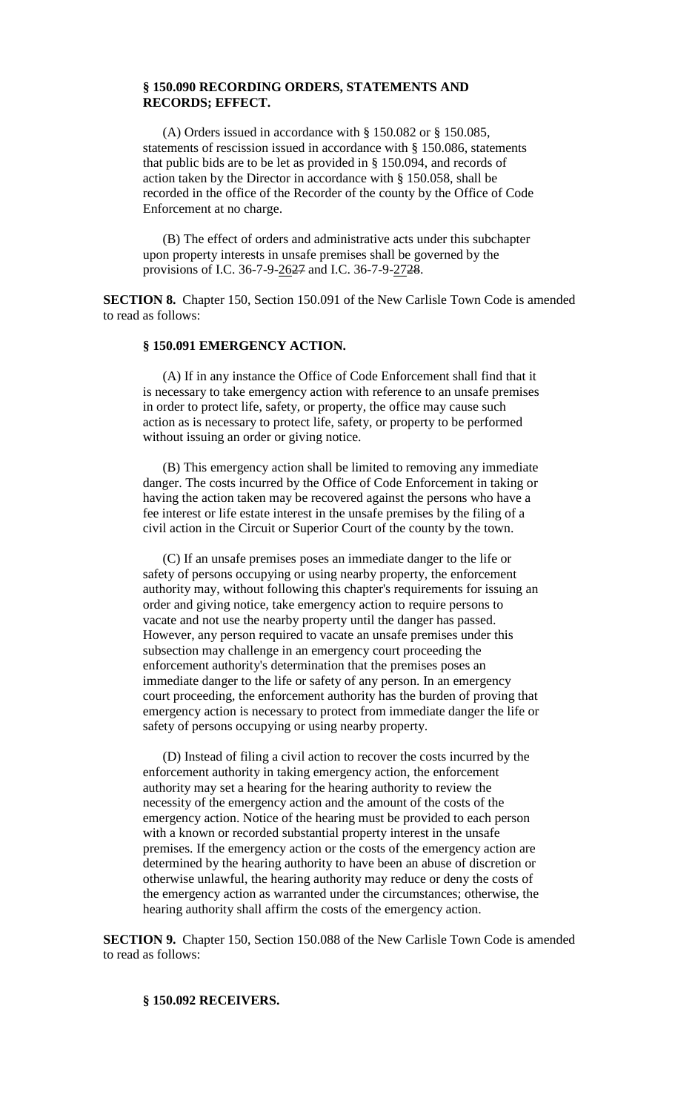### **§ 150.090 RECORDING ORDERS, STATEMENTS AND RECORDS; EFFECT.**

(A) Orders issued in accordance with § 150.082 or § 150.085, statements of rescission issued in accordance with § 150.086, statements that public bids are to be let as provided in § 150.094, and records of action taken by the Director in accordance with § 150.058, shall be recorded in the office of the Recorder of the county by the Office of Code Enforcement at no charge.

(B) The effect of orders and administrative acts under this subchapter upon property interests in unsafe premises shall be governed by the provisions of I.C. 36-7-9-2627 and I.C. 36-7-9-2728.

**SECTION 8.** Chapter 150, Section 150.091 of the New Carlisle Town Code is amended to read as follows:

## **§ 150.091 EMERGENCY ACTION.**

(A) If in any instance the Office of Code Enforcement shall find that it is necessary to take emergency action with reference to an unsafe premises in order to protect life, safety, or property, the office may cause such action as is necessary to protect life, safety, or property to be performed without issuing an order or giving notice.

(B) This emergency action shall be limited to removing any immediate danger. The costs incurred by the Office of Code Enforcement in taking or having the action taken may be recovered against the persons who have a fee interest or life estate interest in the unsafe premises by the filing of a civil action in the Circuit or Superior Court of the county by the town.

(C) If an unsafe premises poses an immediate danger to the life or safety of persons occupying or using nearby property, the enforcement authority may, without following this chapter's requirements for issuing an order and giving notice, take emergency action to require persons to vacate and not use the nearby property until the danger has passed. However, any person required to vacate an unsafe premises under this subsection may challenge in an emergency court proceeding the enforcement authority's determination that the premises poses an immediate danger to the life or safety of any person. In an emergency court proceeding, the enforcement authority has the burden of proving that emergency action is necessary to protect from immediate danger the life or safety of persons occupying or using nearby property.

(D) Instead of filing a civil action to recover the costs incurred by the enforcement authority in taking emergency action, the enforcement authority may set a hearing for the hearing authority to review the necessity of the emergency action and the amount of the costs of the emergency action. Notice of the hearing must be provided to each person with a known or recorded substantial property interest in the unsafe premises. If the emergency action or the costs of the emergency action are determined by the hearing authority to have been an abuse of discretion or otherwise unlawful, the hearing authority may reduce or deny the costs of the emergency action as warranted under the circumstances; otherwise, the hearing authority shall affirm the costs of the emergency action.

**SECTION 9.** Chapter 150, Section 150.088 of the New Carlisle Town Code is amended to read as follows:

#### **§ 150.092 RECEIVERS.**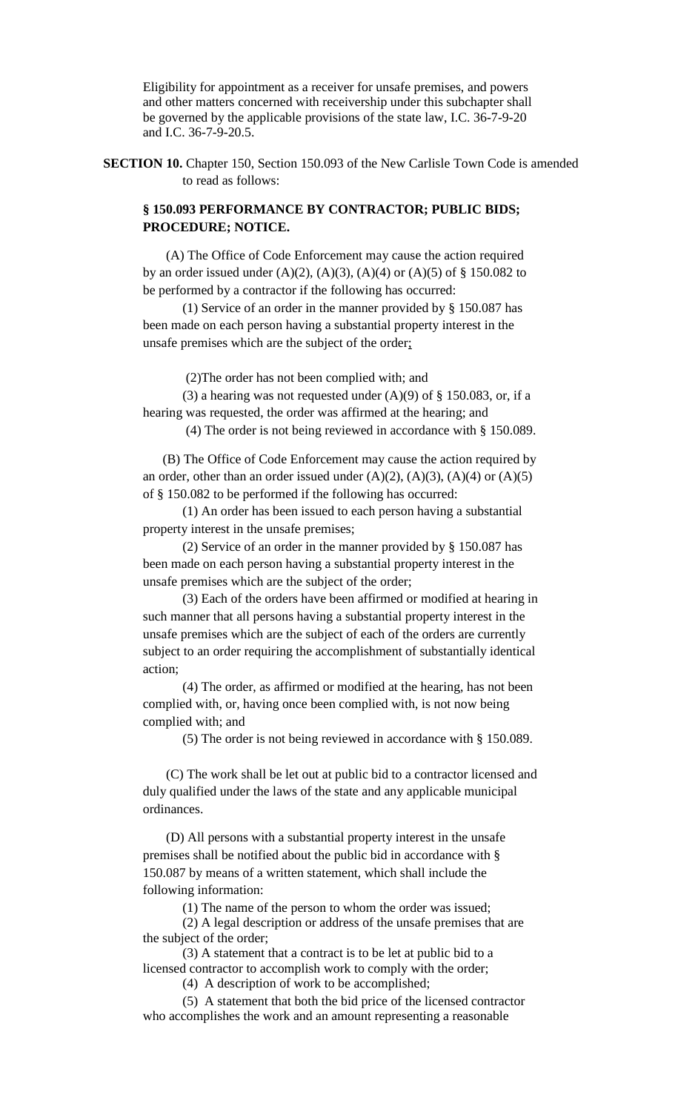Eligibility for appointment as a receiver for unsafe premises, and powers and other matters concerned with receivership under this subchapter shall be governed by the applicable provisions of the state law, I.C. 36-7-9-20 and I.C. 36-7-9-20.5.

**SECTION 10.** Chapter 150, Section 150.093 of the New Carlisle Town Code is amended to read as follows:

## **§ 150.093 PERFORMANCE BY CONTRACTOR; PUBLIC BIDS; PROCEDURE; NOTICE.**

(A) The Office of Code Enforcement may cause the action required by an order issued under  $(A)(2)$ ,  $(A)(3)$ ,  $(A)(4)$  or  $(A)(5)$  of § 150.082 to be performed by a contractor if the following has occurred:

(1) Service of an order in the manner provided by § 150.087 has been made on each person having a substantial property interest in the unsafe premises which are the subject of the order;

(2)The order has not been complied with; and

(3) a hearing was not requested under  $(A)(9)$  of § 150.083, or, if a hearing was requested, the order was affirmed at the hearing; and

(4) The order is not being reviewed in accordance with § 150.089.

(B) The Office of Code Enforcement may cause the action required by an order, other than an order issued under  $(A)(2)$ ,  $(A)(3)$ ,  $(A)(4)$  or  $(A)(5)$ of § 150.082 to be performed if the following has occurred:

(1) An order has been issued to each person having a substantial property interest in the unsafe premises;

(2) Service of an order in the manner provided by § 150.087 has been made on each person having a substantial property interest in the unsafe premises which are the subject of the order;

(3) Each of the orders have been affirmed or modified at hearing in such manner that all persons having a substantial property interest in the unsafe premises which are the subject of each of the orders are currently subject to an order requiring the accomplishment of substantially identical action;

(4) The order, as affirmed or modified at the hearing, has not been complied with, or, having once been complied with, is not now being complied with; and

(5) The order is not being reviewed in accordance with § 150.089.

(C) The work shall be let out at public bid to a contractor licensed and duly qualified under the laws of the state and any applicable municipal ordinances.

(D) All persons with a substantial property interest in the unsafe premises shall be notified about the public bid in accordance with § 150.087 by means of a written statement, which shall include the following information:

(1) The name of the person to whom the order was issued;

(2) A legal description or address of the unsafe premises that are the subject of the order;

(3) A statement that a contract is to be let at public bid to a licensed contractor to accomplish work to comply with the order;

(4) A description of work to be accomplished;

(5) A statement that both the bid price of the licensed contractor who accomplishes the work and an amount representing a reasonable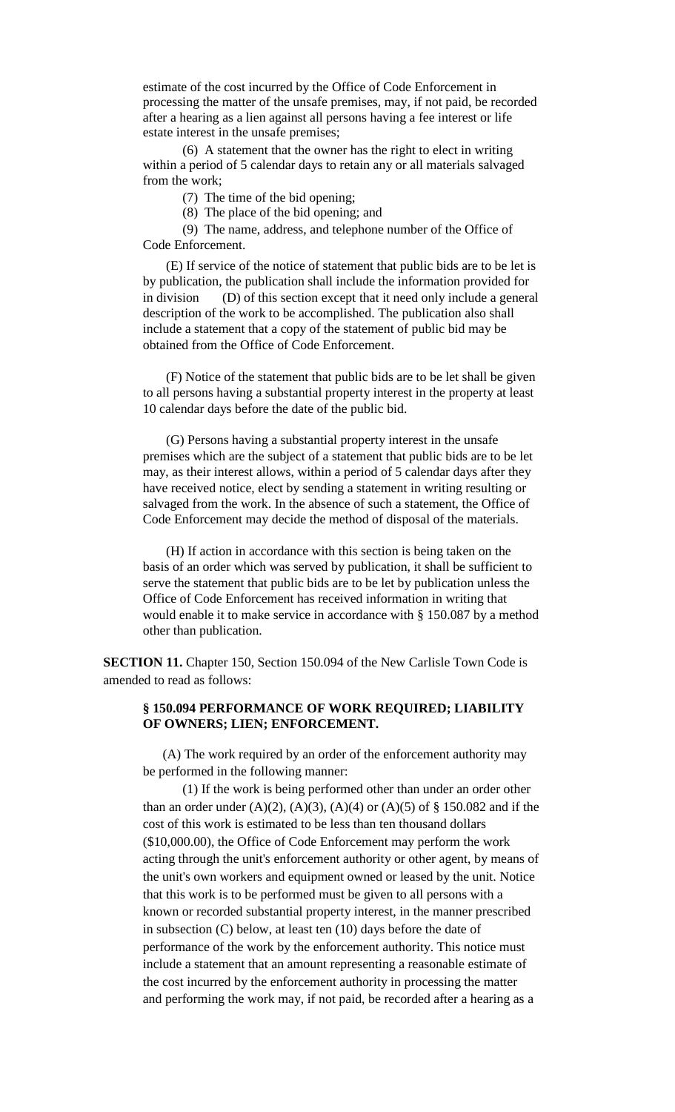estimate of the cost incurred by the Office of Code Enforcement in processing the matter of the unsafe premises, may, if not paid, be recorded after a hearing as a lien against all persons having a fee interest or life estate interest in the unsafe premises;

(6) A statement that the owner has the right to elect in writing within a period of 5 calendar days to retain any or all materials salvaged from the work;

(7) The time of the bid opening;

(8) The place of the bid opening; and

(9) The name, address, and telephone number of the Office of Code Enforcement.

(E) If service of the notice of statement that public bids are to be let is by publication, the publication shall include the information provided for in division (D) of this section except that it need only include a general description of the work to be accomplished. The publication also shall include a statement that a copy of the statement of public bid may be obtained from the Office of Code Enforcement.

(F) Notice of the statement that public bids are to be let shall be given to all persons having a substantial property interest in the property at least 10 calendar days before the date of the public bid.

(G) Persons having a substantial property interest in the unsafe premises which are the subject of a statement that public bids are to be let may, as their interest allows, within a period of 5 calendar days after they have received notice, elect by sending a statement in writing resulting or salvaged from the work. In the absence of such a statement, the Office of Code Enforcement may decide the method of disposal of the materials.

(H) If action in accordance with this section is being taken on the basis of an order which was served by publication, it shall be sufficient to serve the statement that public bids are to be let by publication unless the Office of Code Enforcement has received information in writing that would enable it to make service in accordance with § 150.087 by a method other than publication.

**SECTION 11.** Chapter 150, Section 150.094 of the New Carlisle Town Code is amended to read as follows:

## **§ 150.094 PERFORMANCE OF WORK REQUIRED; LIABILITY OF OWNERS; LIEN; ENFORCEMENT.**

(A) The work required by an order of the enforcement authority may be performed in the following manner:

(1) If the work is being performed other than under an order other than an order under  $(A)(2)$ ,  $(A)(3)$ ,  $(A)(4)$  or  $(A)(5)$  of § 150.082 and if the cost of this work is estimated to be less than ten thousand dollars (\$10,000.00), the Office of Code Enforcement may perform the work acting through the unit's enforcement authority or other agent, by means of the unit's own workers and equipment owned or leased by the unit. Notice that this work is to be performed must be given to all persons with a known or recorded substantial property interest, in the manner prescribed in subsection (C) below, at least ten (10) days before the date of performance of the work by the enforcement authority. This notice must include a statement that an amount representing a reasonable estimate of the cost incurred by the enforcement authority in processing the matter and performing the work may, if not paid, be recorded after a hearing as a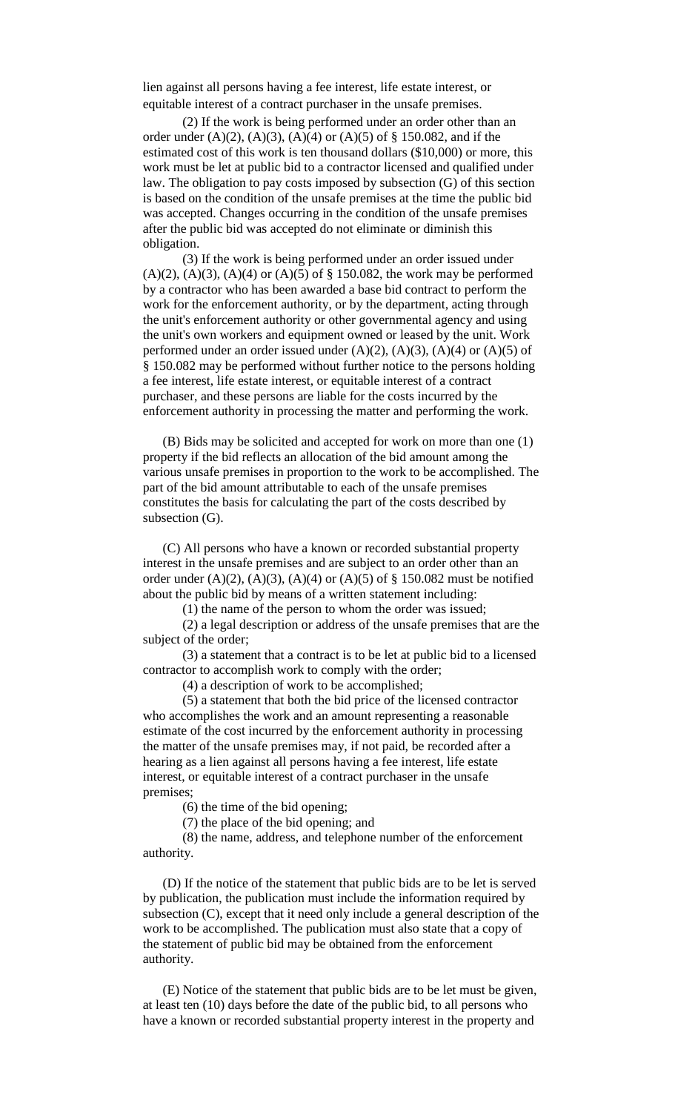lien against all persons having a fee interest, life estate interest, or equitable interest of a contract purchaser in the unsafe premises.

(2) If the work is being performed under an order other than an order under  $(A)(2)$ ,  $(A)(3)$ ,  $(A)(4)$  or  $(A)(5)$  of § 150.082, and if the estimated cost of this work is ten thousand dollars (\$10,000) or more, this work must be let at public bid to a contractor licensed and qualified under law. The obligation to pay costs imposed by subsection (G) of this section is based on the condition of the unsafe premises at the time the public bid was accepted. Changes occurring in the condition of the unsafe premises after the public bid was accepted do not eliminate or diminish this obligation.

(3) If the work is being performed under an order issued under  $(A)(2)$ ,  $(A)(3)$ ,  $(A)(4)$  or  $(A)(5)$  of § 150.082, the work may be performed by a contractor who has been awarded a base bid contract to perform the work for the enforcement authority, or by the department, acting through the unit's enforcement authority or other governmental agency and using the unit's own workers and equipment owned or leased by the unit. Work performed under an order issued under  $(A)(2)$ ,  $(A)(3)$ ,  $(A)(4)$  or  $(A)(5)$  of § 150.082 may be performed without further notice to the persons holding a fee interest, life estate interest, or equitable interest of a contract purchaser, and these persons are liable for the costs incurred by the enforcement authority in processing the matter and performing the work.

(B) Bids may be solicited and accepted for work on more than one (1) property if the bid reflects an allocation of the bid amount among the various unsafe premises in proportion to the work to be accomplished. The part of the bid amount attributable to each of the unsafe premises constitutes the basis for calculating the part of the costs described by subsection (G).

(C) All persons who have a known or recorded substantial property interest in the unsafe premises and are subject to an order other than an order under  $(A)(2)$ ,  $(A)(3)$ ,  $(A)(4)$  or  $(A)(5)$  of § 150.082 must be notified about the public bid by means of a written statement including:

(1) the name of the person to whom the order was issued;

(2) a legal description or address of the unsafe premises that are the subject of the order;

(3) a statement that a contract is to be let at public bid to a licensed contractor to accomplish work to comply with the order;

(4) a description of work to be accomplished;

(5) a statement that both the bid price of the licensed contractor who accomplishes the work and an amount representing a reasonable estimate of the cost incurred by the enforcement authority in processing the matter of the unsafe premises may, if not paid, be recorded after a hearing as a lien against all persons having a fee interest, life estate interest, or equitable interest of a contract purchaser in the unsafe premises;

(6) the time of the bid opening;

(7) the place of the bid opening; and

(8) the name, address, and telephone number of the enforcement authority.

(D) If the notice of the statement that public bids are to be let is served by publication, the publication must include the information required by subsection (C), except that it need only include a general description of the work to be accomplished. The publication must also state that a copy of the statement of public bid may be obtained from the enforcement authority.

(E) Notice of the statement that public bids are to be let must be given, at least ten (10) days before the date of the public bid, to all persons who have a known or recorded substantial property interest in the property and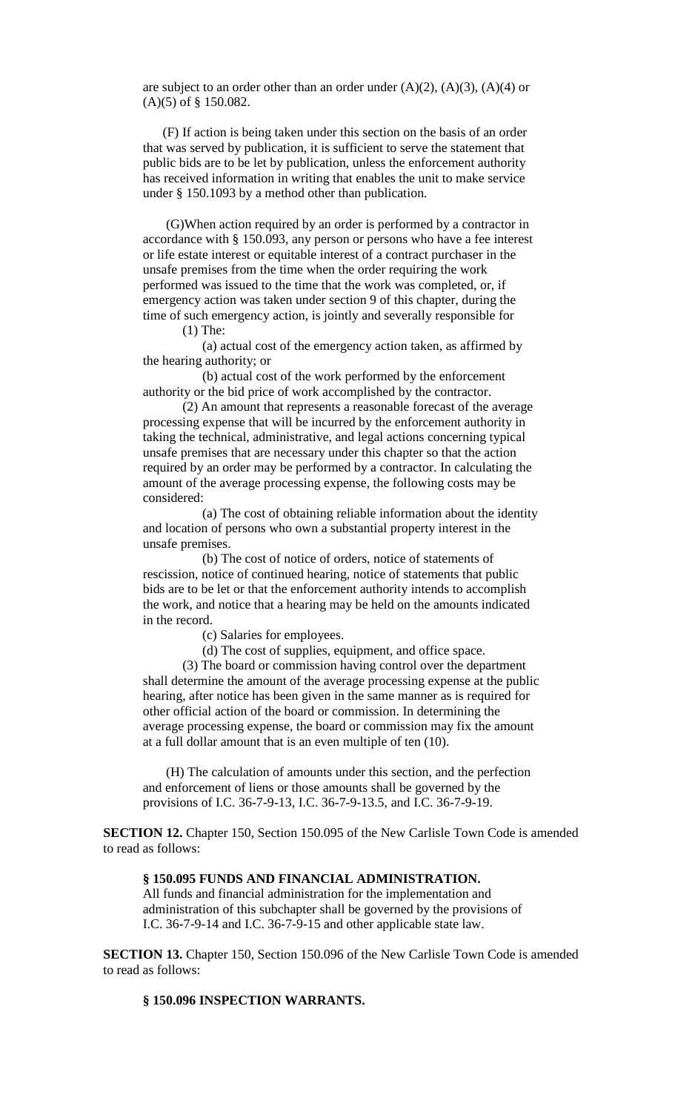are subject to an order other than an order under  $(A)(2)$ ,  $(A)(3)$ ,  $(A)(4)$  or (A)(5) of § 150.082.

(F) If action is being taken under this section on the basis of an order that was served by publication, it is sufficient to serve the statement that public bids are to be let by publication, unless the enforcement authority has received information in writing that enables the unit to make service under § 150.1093 by a method other than publication.

(G)When action required by an order is performed by a contractor in accordance with § 150.093, any person or persons who have a fee interest or life estate interest or equitable interest of a contract purchaser in the unsafe premises from the time when the order requiring the work performed was issued to the time that the work was completed, or, if emergency action was taken under section 9 of this chapter, during the time of such emergency action, is jointly and severally responsible for

(1) The:

(a) actual cost of the emergency action taken, as affirmed by the hearing authority; or

(b) actual cost of the work performed by the enforcement authority or the bid price of work accomplished by the contractor.

(2) An amount that represents a reasonable forecast of the average processing expense that will be incurred by the enforcement authority in taking the technical, administrative, and legal actions concerning typical unsafe premises that are necessary under this chapter so that the action required by an order may be performed by a contractor. In calculating the amount of the average processing expense, the following costs may be considered:

(a) The cost of obtaining reliable information about the identity and location of persons who own a substantial property interest in the unsafe premises.

(b) The cost of notice of orders, notice of statements of rescission, notice of continued hearing, notice of statements that public bids are to be let or that the enforcement authority intends to accomplish the work, and notice that a hearing may be held on the amounts indicated in the record.

(c) Salaries for employees.

(d) The cost of supplies, equipment, and office space.

(3) The board or commission having control over the department shall determine the amount of the average processing expense at the public hearing, after notice has been given in the same manner as is required for other official action of the board or commission. In determining the average processing expense, the board or commission may fix the amount at a full dollar amount that is an even multiple of ten (10).

(H) The calculation of amounts under this section, and the perfection and enforcement of liens or those amounts shall be governed by the provisions of I.C. 36-7-9-13, I.C. 36-7-9-13.5, and I.C. 36-7-9-19.

**SECTION 12.** Chapter 150, Section 150.095 of the New Carlisle Town Code is amended to read as follows:

#### **§ 150.095 FUNDS AND FINANCIAL ADMINISTRATION.**

All funds and financial administration for the implementation and administration of this subchapter shall be governed by the provisions of I.C. 36-7-9-14 and I.C. 36-7-9-15 and other applicable state law.

**SECTION 13.** Chapter 150, Section 150.096 of the New Carlisle Town Code is amended to read as follows:

### **§ 150.096 INSPECTION WARRANTS.**